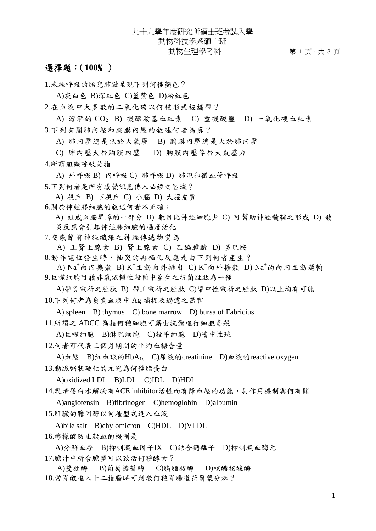## 九十九學年度研究所碩士班考試入學 動物科技學系碩士班 動物生理學考科 第 1 頁,共 3 頁

## 選擇題:(**100**﹪)

1.未經呼吸的胎兒肺臟呈現下列何種顏色?

A)灰白色 B)深紅色 C)藍紫色 D)粉紅色

2.在血液中大多數的二氧化碳以何種形式被攜帶?

A) 溶解的 CO2 B) 碳醯胺基血紅素 C) 重碳酸鹽 D) 一氧化碳血紅素 3.下列有關肺內壓和胸膜內壓的敘述何者為真?

A) 肺內壓總是低於大氣壓 B) 胸膜內壓總是大於肺內壓

C) 肺內壓大於胸膜內壓 D) 胸膜內壓等於大氣壓力

4.所謂組織呼吸是指

A) 外呼吸 B) 內呼吸 C) 肺呼吸 D) 肺泡和微血管呼吸

5.下列何者是所有感覺訊息傳入必經之區域?

A) 視丘 B) 下視丘 C) 小腦 D) 大腦皮質

6.關於神經膠細胞的敘述何者不正確:

A) 組成血腦屏障的一部分 B) 數目比神經細胞少 C) 可幫助神經髓鞘之形成 D) 發 炎反應會引起神經膠細胞的過度活化

7.交感節前神經纖維之神經傳遞物質為

A) 正腎上腺素 B) 腎上腺素 C) 乙醯膽鹼 D) 多巴胺

8.動作電位發生時,軸突的再極化反應是由下列何者產生?

A)  $\mathrm{Na}^+$ 向內擴散 B)  $\mathrm{K}^+$ 主動向外排出 C)  $\mathrm{K}^+$ 向外擴散 D)  $\mathrm{Na}^+$ 的向內主動運輸 9.巨噬細胞可藉非氧依賴性殺菌中產生之抗菌胜肽為一種

A)帶負電荷之胜肽 B) 帶正電荷之胜肽 C)帶中性電荷之胜肽 D)以上均有可能 10.下列何者為負責血液中 Ag 補捉及過濾之器官

A) spleen B) thymus C) bone marrow D) bursa of Fabricius

11.所謂之 ADCC 為指何種細胞可藉由抗體進行細胞毒殺

A)巨噬細胞 B)淋巴細胞 C)殺手細胞 D)嗜中性球

12.何者可代表三個月期間的平均血糖含量

A)血壓 B)紅血球的HbA<sub>1c</sub> C)尿液的creatinine D)血液的reactive oxygen 13.動脈粥狀硬化的元兇為何種脂蛋白

A)oxidized LDL B)LDL C)IDL D)HDL

14.乳清蛋白水解物有ACE inhibitor活性而有降血壓的功能,其作用機制與何有關

A)angiotensin B)fibrinogen C)hemoglobin D)albumin

15.肝臟的膽固醇以何種型式進入血液

A)bile salt B)chylomicron C)HDL D)VLDL 16.檸檬酸防止凝血的機制是

A)分解血栓 B)抑制凝血因子IX C)結合鈣離子 D)抑制凝血酶元 17.膽汁中所含膽鹽可以致活何種酵素?

A)雙胜酶 B)葡萄糖苷酶 C)胰脂肪酶 D)核醣核酸酶 18.當胃酸進入十二指腸時可刺激何種胃腸道荷爾蒙分泌?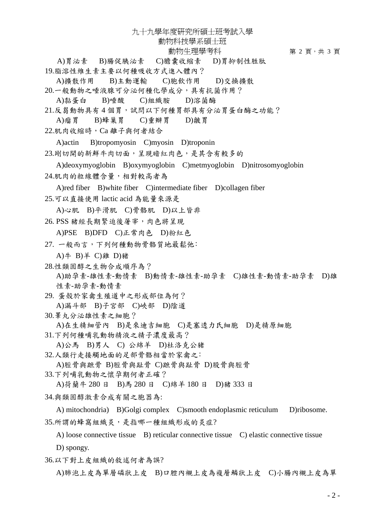九十九學年度研究所碩士班考試入學

動物科技學系碩士班

動物生理學考科 第 2 頁,共3 頁

A)胃泌素 B)腸促胰泌素 C)膽囊收縮素 D)胃抑制性胜肽 19.脂溶性維生素主要以何種吸收方式進入體內?

A)擴散作用 B)主動運輸 C)胞飲作用 D)交換擴散

20.一般動物之唾液腺可分泌何種化學成分,具有抗菌作用?

A)黏蛋白 B)唾酸 C)組織胺 D)溶菌酶

21.反芻動物具有4個胃,試問以下何種胃部具有分泌胃蛋白酶之功能?

A)瘤胃 B)蜂巢胃 C)重瓣胃 D)皺胃

22.肌肉收縮時,Ca 離子與何者結合

A)actin B)tropomyosin C)myosin D)troponin

23.剛切開的新鮮牛肉切面,呈現暗紅肉色,是其含有較多的

A)deoxymyoglobin B)oxymyoglobin C)metmyoglobin D)nitrosomyoglobin 24.肌肉的粒線體含量,相對較高者為

A)red fiber B)white fiber C)intermediate fiber D)collagen fiber

25.可以直接使用 lactic acid 為能量來源是

A)心肌 B)平滑肌 C)骨骼肌 D)以上皆非

26. PSS 猪經長期緊迫後屠宰,肉色將呈現

A)PSE B)DFD C)正常肉色 D)粉紅色

27. 一般而言,下列何種動物骨骼質地最鬆弛:

A)牛 B)羊 C)雞 D)猪

28.性類固醇之生物合成順序為? A)助孕素-雄性素-動情素 B)動情素-雄性素-助孕素 C)雄性素-動情素-助孕素 D)雄 性素-助孕素-動情素

29. 蛋殼於家禽生殖道中之形成部位為何? A)漏斗部 B)子宮部 C)峽部 D)陰道

30.睪丸分泌雄性素之細胞?

A)在生精細管內 B)是來迪吉細胞 C)是塞透力氏細胞 D)是精原細胞

31.下列何種哺乳動物精液之精子濃度最高?

A)公馬 B)男人 C) 公綿羊 D)杜洛克公猪

32.人類行走接觸地面的足部骨骼相當於家禽之:

A)脛骨與蹠骨 B)脛骨與趾骨 C)蹠骨與趾骨 D)股骨與脛骨

33.下列哺乳動物之懷孕期何者正確?

A)荷蘭牛 280 日 B)馬 280 日 C)綿羊 180 日 D)猪 333 日

34.與類固醇激素合成有關之胞器為:

A) mitochondria) B)Golgi complex C)smooth endoplasmic reticulum D)ribosome. 35.所謂的蜂窩組織炎,是指哪一種組織形成的炎症?

A) loose connective tissue B) reticular connective tissue C) elastic connective tissue D) spongy.

36.以下對上皮組織的敘述何者為誤?

A)肺泡上皮為單層磷狀上皮 B)口腔內襯上皮為複層鱗狀上皮 C)小腸內襯上皮為單